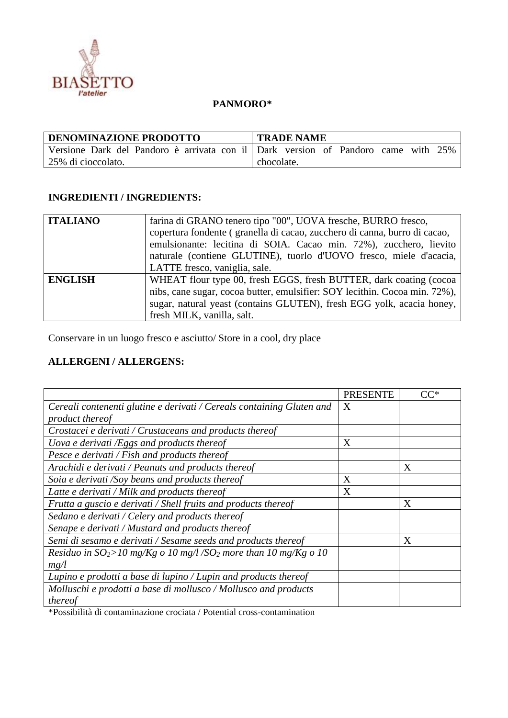

## **PANMORO\***

| <b>DENOMINAZIONE PRODOTTO</b>                                                     | <b>TRADE NAME</b> |  |
|-----------------------------------------------------------------------------------|-------------------|--|
| Versione Dark del Pandoro è arrivata con il Dark version of Pandoro came with 25% |                   |  |
| 25% di cioccolato.                                                                | chocolate.        |  |

## **INGREDIENTI / INGREDIENTS:**

| <b>ITALIANO</b> | farina di GRANO tenero tipo "00", UOVA fresche, BURRO fresco,              |
|-----------------|----------------------------------------------------------------------------|
|                 | copertura fondente (granella di cacao, zucchero di canna, burro di cacao,  |
|                 | emulsionante: lecitina di SOIA. Cacao min. 72%), zucchero, lievito         |
|                 | naturale (contiene GLUTINE), tuorlo d'UOVO fresco, miele d'acacia,         |
|                 | LATTE fresco, vaniglia, sale.                                              |
| <b>ENGLISH</b>  | WHEAT flour type 00, fresh EGGS, fresh BUTTER, dark coating (cocoa         |
|                 | nibs, cane sugar, cocoa butter, emulsifier: SOY lecithin. Cocoa min. 72%), |
|                 | sugar, natural yeast (contains GLUTEN), fresh EGG yolk, acacia honey,      |
|                 | fresh MILK, vanilla, salt.                                                 |

Conservare in un luogo fresco e asciutto/ Store in a cool, dry place

## **ALLERGENI / ALLERGENS:**

|                                                                                | <b>PRESENTE</b> | $CC^*$ |
|--------------------------------------------------------------------------------|-----------------|--------|
| Cereali contenenti glutine e derivati / Cereals containing Gluten and          | X               |        |
| product thereof                                                                |                 |        |
| Crostacei e derivati / Crustaceans and products thereof                        |                 |        |
| Uova e derivati /Eggs and products thereof                                     | X               |        |
| Pesce e derivati / Fish and products thereof                                   |                 |        |
| Arachidi e derivati / Peanuts and products thereof                             |                 | X      |
| Soia e derivati /Soy beans and products thereof                                | X               |        |
| Latte e derivati / Milk and products thereof                                   | X               |        |
| Frutta a guscio e derivati / Shell fruits and products thereof                 |                 | X      |
| Sedano e derivati / Celery and products thereof                                |                 |        |
| Senape e derivati / Mustard and products thereof                               |                 |        |
| Semi di sesamo e derivati / Sesame seeds and products thereof                  |                 | X      |
| Residuo in $SO_2 > 10$ mg/Kg o 10 mg/l/SO <sub>2</sub> more than 10 mg/Kg o 10 |                 |        |
| mg/l                                                                           |                 |        |
| Lupino e prodotti a base di lupino / Lupin and products thereof                |                 |        |
| Molluschi e prodotti a base di mollusco / Mollusco and products                |                 |        |
| thereof                                                                        |                 |        |

\*Possibilità di contaminazione crociata / Potential cross-contamination